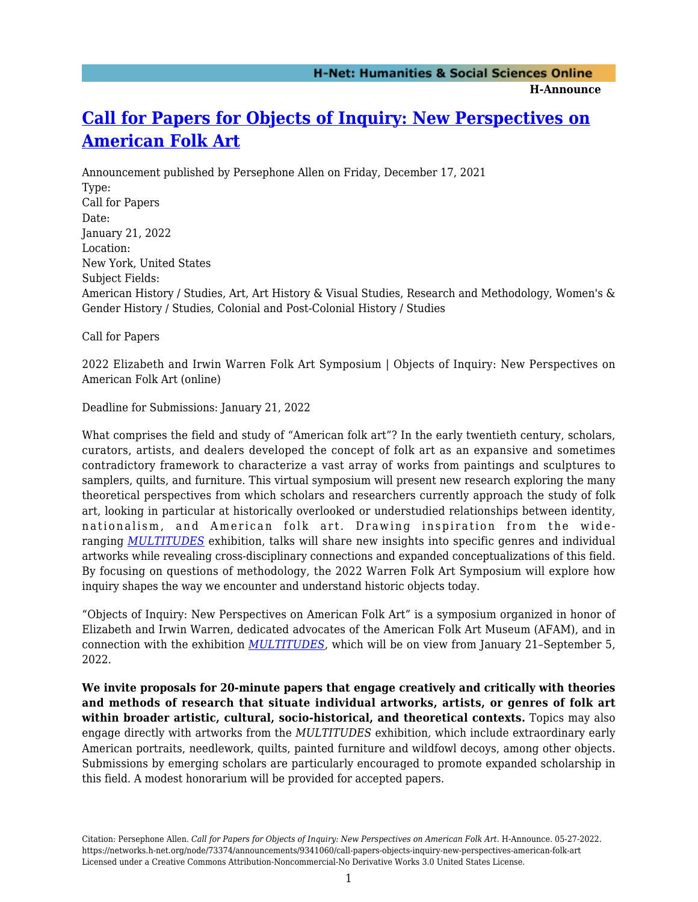**H-Announce** 

## **[Call for Papers for Objects of Inquiry: New Perspectives on](https://networks.h-net.org/node/73374/announcements/9341060/call-papers-objects-inquiry-new-perspectives-american-folk-art) [American Folk Art](https://networks.h-net.org/node/73374/announcements/9341060/call-papers-objects-inquiry-new-perspectives-american-folk-art)**

Announcement published by Persephone Allen on Friday, December 17, 2021 Type: Call for Papers Date: January 21, 2022 Location: New York, United States Subject Fields: American History / Studies, Art, Art History & Visual Studies, Research and Methodology, Women's & Gender History / Studies, Colonial and Post-Colonial History / Studies

Call for Papers

2022 Elizabeth and Irwin Warren Folk Art Symposium | Objects of Inquiry: New Perspectives on American Folk Art (online)

Deadline for Submissions: January 21, 2022

What comprises the field and study of "American folk art"? In the early twentieth century, scholars, curators, artists, and dealers developed the concept of folk art as an expansive and sometimes contradictory framework to characterize a vast array of works from paintings and sculptures to samplers, quilts, and furniture. This virtual symposium will present new research exploring the many theoretical perspectives from which scholars and researchers currently approach the study of folk art, looking in particular at historically overlooked or understudied relationships between identity, nationalism, and American folk art. Drawing inspiration from the wideranging *[MULTITUDES](https://folkartmuseum.org/exhibitions/multitudes/)* exhibition, talks will share new insights into specific genres and individual artworks while revealing cross-disciplinary connections and expanded conceptualizations of this field. By focusing on questions of methodology, the 2022 Warren Folk Art Symposium will explore how inquiry shapes the way we encounter and understand historic objects today.

"Objects of Inquiry: New Perspectives on American Folk Art" is a symposium organized in honor of Elizabeth and Irwin Warren, dedicated advocates of the American Folk Art Museum (AFAM), and in connection with the exhibition *[MULTITUDES](https://folkartmuseum.org/exhibitions/multitudes/)*, which will be on view from January 21–September 5, 2022.

**We invite proposals for 20-minute papers that engage creatively and critically with theories and methods of research that situate individual artworks, artists, or genres of folk art within broader artistic, cultural, socio-historical, and theoretical contexts.** Topics may also engage directly with artworks from the *MULTITUDES* exhibition*,* which include extraordinary early American portraits, needlework, quilts, painted furniture and wildfowl decoys, among other objects. Submissions by emerging scholars are particularly encouraged to promote expanded scholarship in this field. A modest honorarium will be provided for accepted papers.

Citation: Persephone Allen. *Call for Papers for Objects of Inquiry: New Perspectives on American Folk Art*. H-Announce. 05-27-2022. https://networks.h-net.org/node/73374/announcements/9341060/call-papers-objects-inquiry-new-perspectives-american-folk-art Licensed under a Creative Commons Attribution-Noncommercial-No Derivative Works 3.0 United States License.